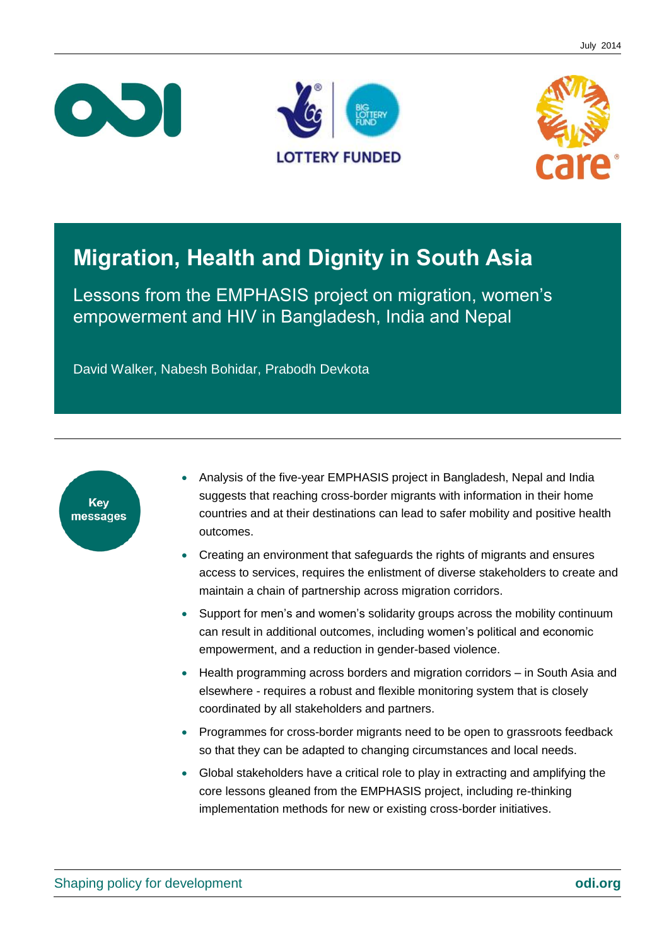





# **Migration, Health and Dignity in South Asia**

Lessons from the EMPHASIS project on migration, women's empowerment and HIV in Bangladesh, India and Nepal

David Walker, Nabesh Bohidar, Prabodh Devkota



- Analysis of the five-year EMPHASIS project in Bangladesh, Nepal and India suggests that reaching cross-border migrants with information in their home countries and at their destinations can lead to safer mobility and positive health outcomes.
- Creating an environment that safeguards the rights of migrants and ensures access to services, requires the enlistment of diverse stakeholders to create and maintain a chain of partnership across migration corridors.
- Support for men's and women's solidarity groups across the mobility continuum can result in additional outcomes, including women's political and economic empowerment, and a reduction in gender-based violence.
- Health programming across borders and migration corridors in South Asia and elsewhere - requires a robust and flexible monitoring system that is closely coordinated by all stakeholders and partners.
- Programmes for cross-border migrants need to be open to grassroots feedback so that they can be adapted to changing circumstances and local needs.
- Global stakeholders have a critical role to play in extracting and amplifying the core lessons gleaned from the EMPHASIS project, including re-thinking implementation methods for new or existing cross-border initiatives.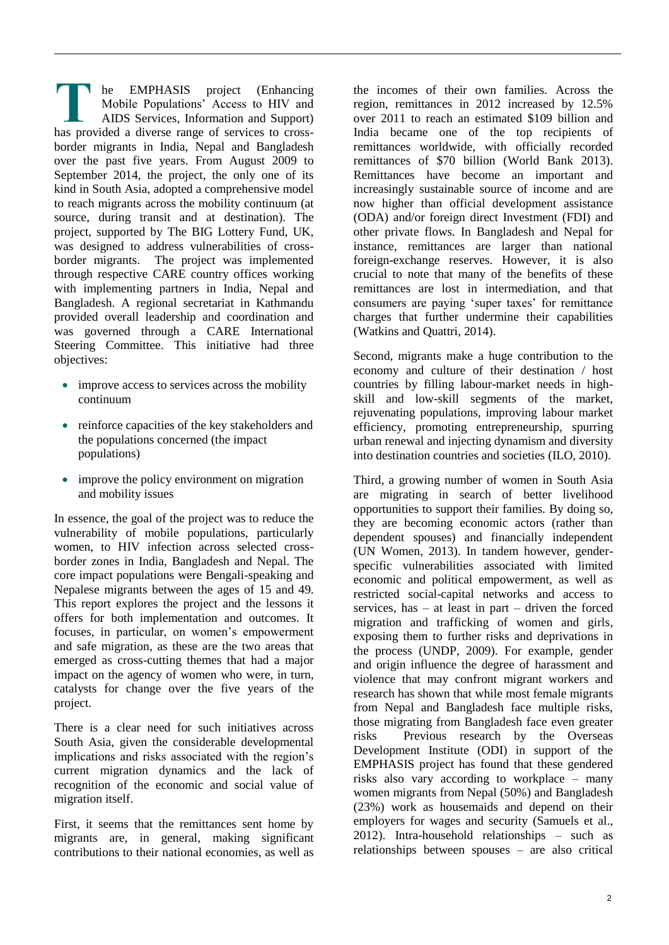he EMPHASIS project (Enhancing Mobile Populations' Access to HIV and AIDS Services, Information and Support) has provided a diverse range of services to crossborder migrants in India, Nepal and Bangladesh over the past five years. From August 2009 to September 2014, the project, the only one of its kind in South Asia, adopted a comprehensive model to reach migrants across the mobility continuum (at source, during transit and at destination). The project, supported by The BIG Lottery Fund, UK, was designed to address vulnerabilities of crossborder migrants. The project was implemented through respective CARE country offices working with implementing partners in India, Nepal and Bangladesh. A regional secretariat in Kathmandu provided overall leadership and coordination and was governed through a CARE International Steering Committee. This initiative had three objectives:

- improve access to services across the mobility continuum
- reinforce capacities of the key stakeholders and the populations concerned (the impact populations)
- improve the policy environment on migration and mobility issues

In essence, the goal of the project was to reduce the vulnerability of mobile populations, particularly women, to HIV infection across selected crossborder zones in India, Bangladesh and Nepal. The core impact populations were Bengali-speaking and Nepalese migrants between the ages of 15 and 49. This report explores the project and the lessons it offers for both implementation and outcomes. It focuses, in particular, on women's empowerment and safe migration, as these are the two areas that emerged as cross-cutting themes that had a major impact on the agency of women who were, in turn, catalysts for change over the five years of the project.

There is a clear need for such initiatives across South Asia, given the considerable developmental implications and risks associated with the region's current migration dynamics and the lack of recognition of the economic and social value of migration itself.

First, it seems that the remittances sent home by migrants are, in general, making significant contributions to their national economies, as well as the incomes of their own families. Across the region, remittances in 2012 increased by 12.5% over 2011 to reach an estimated \$109 billion and India became one of the top recipients of remittances worldwide, with officially recorded remittances of \$70 billion (World Bank 2013). Remittances have become an important and increasingly sustainable source of income and are now higher than official development assistance (ODA) and/or foreign direct Investment (FDI) and other private flows. In Bangladesh and Nepal for instance, remittances are larger than national foreign-exchange reserves. However, it is also crucial to note that many of the benefits of these remittances are lost in intermediation, and that consumers are paying 'super taxes' for remittance charges that further undermine their capabilities (Watkins and Quattri, 2014).

Second, migrants make a huge contribution to the economy and culture of their destination / host countries by filling labour-market needs in highskill and low-skill segments of the market, rejuvenating populations, improving labour market efficiency, promoting entrepreneurship, spurring urban renewal and injecting dynamism and diversity into destination countries and societies (ILO, 2010).

Third, a growing number of women in South Asia are migrating in search of better livelihood opportunities to support their families. By doing so, they are becoming economic actors (rather than dependent spouses) and financially independent (UN Women, 2013). In tandem however, genderspecific vulnerabilities associated with limited economic and political empowerment, as well as restricted social-capital networks and access to services, has  $-$  at least in part  $-$  driven the forced migration and trafficking of women and girls, exposing them to further risks and deprivations in the process (UNDP, 2009). For example, gender and origin influence the degree of harassment and violence that may confront migrant workers and research has shown that while most female migrants from Nepal and Bangladesh face multiple risks, those migrating from Bangladesh face even greater risks Previous research by the Overseas Development Institute (ODI) in support of the EMPHASIS project has found that these gendered risks also vary according to workplace – many women migrants from Nepal (50%) and Bangladesh (23%) work as housemaids and depend on their employers for wages and security (Samuels et al., 2012). Intra-household relationships – such as relationships between spouses – are also critical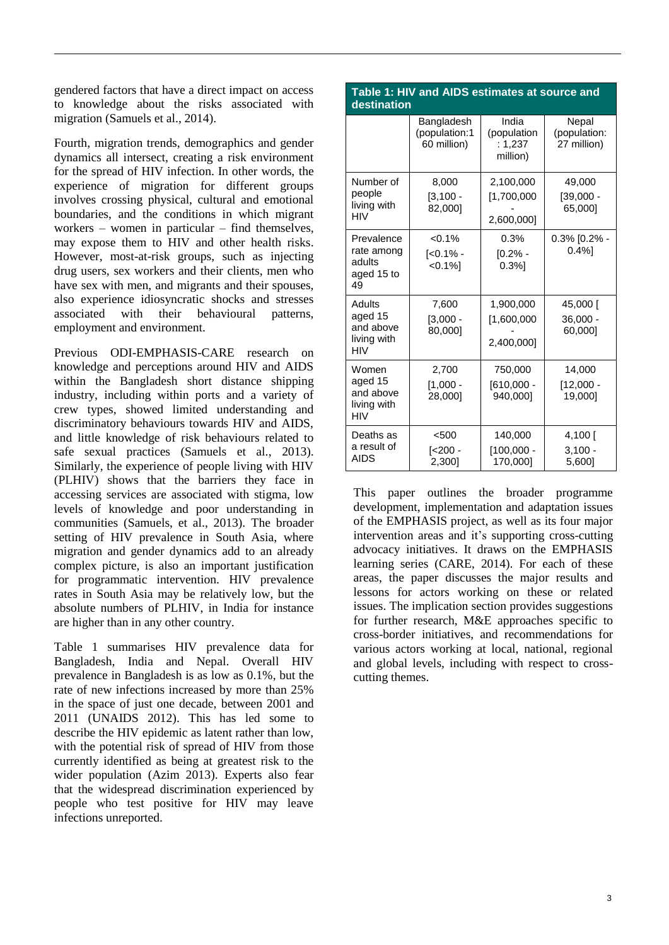gendered factors that have a direct impact on access to knowledge about the risks associated with migration (Samuels et al., 2014).

Fourth, migration trends, demographics and gender dynamics all intersect, creating a risk environment for the spread of HIV infection. In other words, the experience of migration for different groups involves crossing physical, cultural and emotional boundaries, and the conditions in which migrant workers – women in particular – find themselves, may expose them to HIV and other health risks. However, most-at-risk groups, such as injecting drug users, sex workers and their clients, men who have sex with men, and migrants and their spouses, also experience idiosyncratic shocks and stresses associated with their behavioural patterns, employment and environment.

Previous ODI-EMPHASIS-CARE research on knowledge and perceptions around HIV and AIDS within the Bangladesh short distance shipping industry, including within ports and a variety of crew types, showed limited understanding and discriminatory behaviours towards HIV and AIDS, and little knowledge of risk behaviours related to safe sexual practices (Samuels et al., 2013). Similarly, the experience of people living with HIV (PLHIV) shows that the barriers they face in accessing services are associated with stigma, low levels of knowledge and poor understanding in communities (Samuels, et al., 2013). The broader setting of HIV prevalence in South Asia, where migration and gender dynamics add to an already complex picture, is also an important justification for programmatic intervention. HIV prevalence rates in South Asia may be relatively low, but the absolute numbers of PLHIV, in India for instance are higher than in any other country.

Table 1 summarises HIV prevalence data for Bangladesh, India and Nepal. Overall HIV prevalence in Bangladesh is as low as 0.1%, but the rate of new infections increased by more than 25% in the space of just one decade, between 2001 and 2011 (UNAIDS 2012). This has led some to describe the HIV epidemic as latent rather than low, with the potential risk of spread of HIV from those currently identified as being at greatest risk to the wider population (Azim 2013). Experts also fear that the widespread discrimination experienced by people who test positive for HIV may leave infections unreported.

| destination                                                |                                            |                                             |                                      |  |
|------------------------------------------------------------|--------------------------------------------|---------------------------------------------|--------------------------------------|--|
|                                                            | Bangladesh<br>(population:1<br>60 million) | India<br>(population<br>: 1,237<br>million) | Nepal<br>(population:<br>27 million) |  |
| Number of<br>people<br>living with<br>HIV                  | 8,000<br>$[3, 100 -$<br>82,000]            | 2,100,000<br>[1,700,000]<br>2,600,000]      | 49,000<br>$[39,000 -$<br>65,0001     |  |
| Prevalence<br>rate among<br>adults<br>aged 15 to<br>49     | $< 0.1\%$<br>$5 - 1\%$<br>$< 0.1\%$        | 0.3%<br>$[0.2%$ -<br>$0.3%$ ]               | $0.3\%$ [0.2% -<br>0.4%              |  |
| Adults<br>aged 15<br>and above<br>living with<br>HIV       | 7,600<br>$[3,000 -$<br>80,000]             | 1,900,000<br>[1,600,000]<br>2,400,000]      | 45,000 [<br>$36,000 -$<br>60,0001    |  |
| Women<br>aged 15<br>and above<br>living with<br><b>HIV</b> | 2,700<br>$[1,000 -$<br>28,0001             | 750,000<br>$[610,000 -$<br>940,000]         | 14,000<br>$[12,000 -$<br>19,0001     |  |
| Deaths as<br>a result of<br><b>AIDS</b>                    | < 500<br>[<200 -<br>2,300]                 | 140,000<br>$[100,000 -$<br>170,000]         | $4,100$ [<br>$3,100 -$<br>5,600]     |  |

This paper outlines the broader programme development, implementation and adaptation issues of the EMPHASIS project, as well as its four major intervention areas and it's supporting cross-cutting advocacy initiatives. It draws on the EMPHASIS learning series (CARE, 2014). For each of these areas, the paper discusses the major results and lessons for actors working on these or related issues. The implication section provides suggestions for further research, M&E approaches specific to cross-border initiatives, and recommendations for various actors working at local, national, regional and global levels, including with respect to crosscutting themes.

# **Table 1: HIV and AIDS estimates at source and**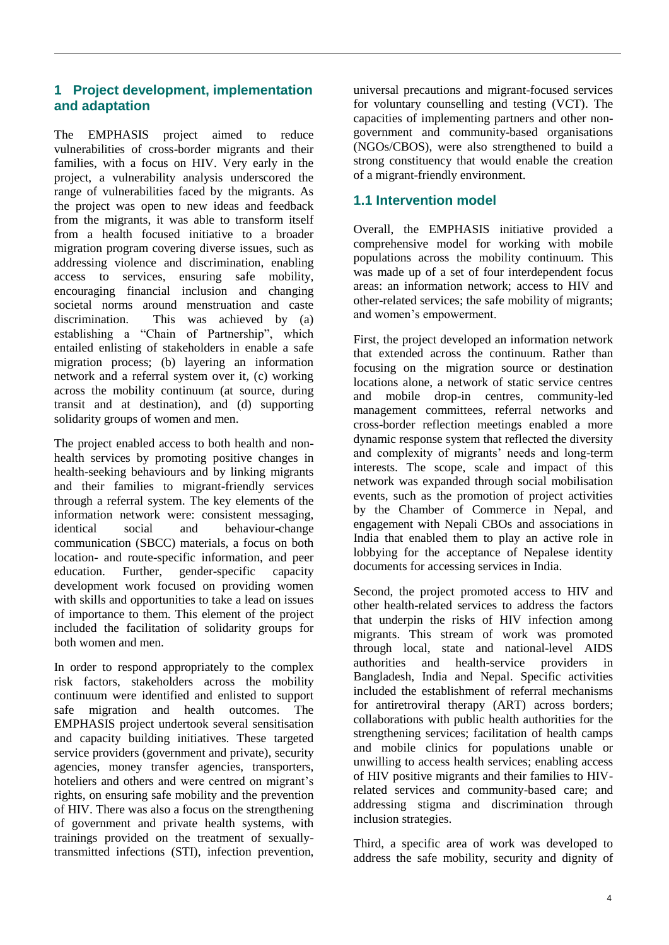# **1 Project development, implementation and adaptation**

The EMPHASIS project aimed to reduce vulnerabilities of cross-border migrants and their families, with a focus on HIV. Very early in the project, a vulnerability analysis underscored the range of vulnerabilities faced by the migrants. As the project was open to new ideas and feedback from the migrants, it was able to transform itself from a health focused initiative to a broader migration program covering diverse issues, such as addressing violence and discrimination, enabling access to services, ensuring safe mobility, encouraging financial inclusion and changing societal norms around menstruation and caste discrimination. This was achieved by (a) establishing a "Chain of Partnership", which entailed enlisting of stakeholders in enable a safe migration process; (b) layering an information network and a referral system over it, (c) working across the mobility continuum (at source, during transit and at destination), and (d) supporting solidarity groups of women and men.

The project enabled access to both health and nonhealth services by promoting positive changes in health-seeking behaviours and by linking migrants and their families to migrant-friendly services through a referral system. The key elements of the information network were: consistent messaging, identical social and behaviour-change communication (SBCC) materials, a focus on both location- and route-specific information, and peer education. Further, gender-specific capacity development work focused on providing women with skills and opportunities to take a lead on issues of importance to them. This element of the project included the facilitation of solidarity groups for both women and men.

In order to respond appropriately to the complex risk factors, stakeholders across the mobility continuum were identified and enlisted to support safe migration and health outcomes. The EMPHASIS project undertook several sensitisation and capacity building initiatives. These targeted service providers (government and private), security agencies, money transfer agencies, transporters, hoteliers and others and were centred on migrant's rights, on ensuring safe mobility and the prevention of HIV. There was also a focus on the strengthening of government and private health systems, with trainings provided on the treatment of sexuallytransmitted infections (STI), infection prevention, universal precautions and migrant-focused services for voluntary counselling and testing (VCT). The capacities of implementing partners and other nongovernment and community-based organisations (NGOs/CBOS), were also strengthened to build a strong constituency that would enable the creation of a migrant-friendly environment.

# **1.1 Intervention model**

Overall, the EMPHASIS initiative provided a comprehensive model for working with mobile populations across the mobility continuum. This was made up of a set of four interdependent focus areas: an information network; access to HIV and other-related services; the safe mobility of migrants; and women's empowerment.

First, the project developed an information network that extended across the continuum. Rather than focusing on the migration source or destination locations alone, a network of static service centres and mobile drop-in centres, community-led management committees, referral networks and cross-border reflection meetings enabled a more dynamic response system that reflected the diversity and complexity of migrants' needs and long-term interests. The scope, scale and impact of this network was expanded through social mobilisation events, such as the promotion of project activities by the Chamber of Commerce in Nepal, and engagement with Nepali CBOs and associations in India that enabled them to play an active role in lobbying for the acceptance of Nepalese identity documents for accessing services in India.

Second, the project promoted access to HIV and other health-related services to address the factors that underpin the risks of HIV infection among migrants. This stream of work was promoted through local, state and national-level AIDS authorities and health-service providers in Bangladesh, India and Nepal. Specific activities included the establishment of referral mechanisms for antiretroviral therapy (ART) across borders; collaborations with public health authorities for the strengthening services; facilitation of health camps and mobile clinics for populations unable or unwilling to access health services; enabling access of HIV positive migrants and their families to HIVrelated services and community-based care; and addressing stigma and discrimination through inclusion strategies.

Third, a specific area of work was developed to address the safe mobility, security and dignity of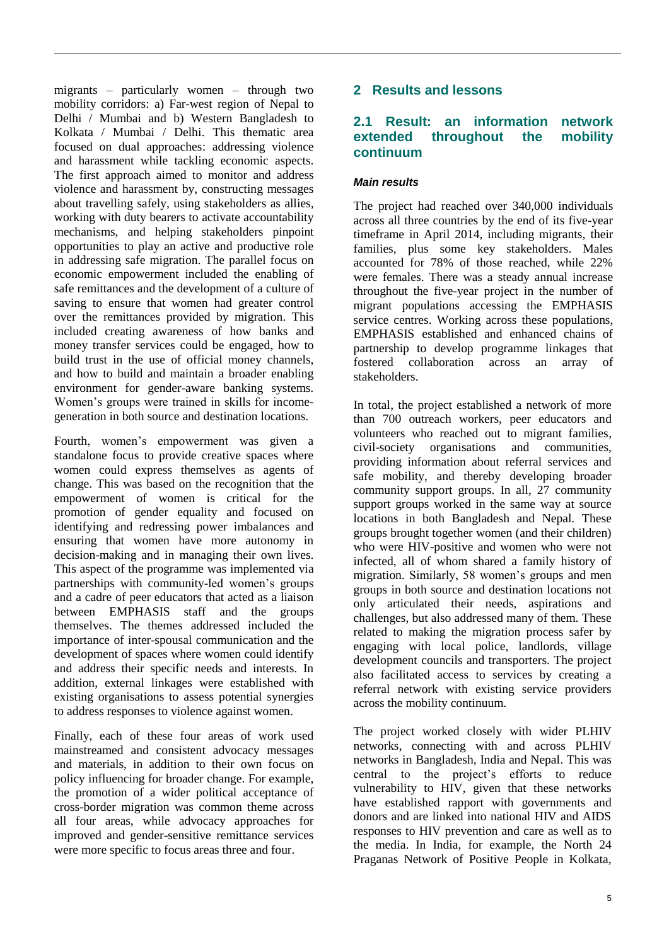migrants – particularly women – through two mobility corridors: a) Far-west region of Nepal to Delhi / Mumbai and b) Western Bangladesh to Kolkata / Mumbai / Delhi. This thematic area focused on dual approaches: addressing violence and harassment while tackling economic aspects. The first approach aimed to monitor and address violence and harassment by, constructing messages about travelling safely, using stakeholders as allies, working with duty bearers to activate accountability mechanisms, and helping stakeholders pinpoint opportunities to play an active and productive role in addressing safe migration. The parallel focus on economic empowerment included the enabling of safe remittances and the development of a culture of saving to ensure that women had greater control over the remittances provided by migration. This included creating awareness of how banks and money transfer services could be engaged, how to build trust in the use of official money channels, and how to build and maintain a broader enabling environment for gender-aware banking systems. Women's groups were trained in skills for incomegeneration in both source and destination locations.

Fourth, women's empowerment was given a standalone focus to provide creative spaces where women could express themselves as agents of change. This was based on the recognition that the empowerment of women is critical for the promotion of gender equality and focused on identifying and redressing power imbalances and ensuring that women have more autonomy in decision-making and in managing their own lives. This aspect of the programme was implemented via partnerships with community-led women's groups and a cadre of peer educators that acted as a liaison between EMPHASIS staff and the groups themselves. The themes addressed included the importance of inter-spousal communication and the development of spaces where women could identify and address their specific needs and interests. In addition, external linkages were established with existing organisations to assess potential synergies to address responses to violence against women.

Finally, each of these four areas of work used mainstreamed and consistent advocacy messages and materials, in addition to their own focus on policy influencing for broader change. For example, the promotion of a wider political acceptance of cross-border migration was common theme across all four areas, while advocacy approaches for improved and gender-sensitive remittance services were more specific to focus areas three and four.

# **2 Results and lessons**

# **2.1 Result: an information network extended throughout the mobility continuum**

#### *Main results*

The project had reached over 340,000 individuals across all three countries by the end of its five-year timeframe in April 2014, including migrants, their families, plus some key stakeholders. Males accounted for 78% of those reached, while 22% were females. There was a steady annual increase throughout the five-year project in the number of migrant populations accessing the EMPHASIS service centres. Working across these populations, EMPHASIS established and enhanced chains of partnership to develop programme linkages that fostered collaboration across an array of stakeholders.

In total, the project established a network of more than 700 outreach workers, peer educators and volunteers who reached out to migrant families, civil-society organisations and communities, providing information about referral services and safe mobility, and thereby developing broader community support groups. In all, 27 community support groups worked in the same way at source locations in both Bangladesh and Nepal. These groups brought together women (and their children) who were HIV-positive and women who were not infected, all of whom shared a family history of migration. Similarly, 58 women's groups and men groups in both source and destination locations not only articulated their needs, aspirations and challenges, but also addressed many of them. These related to making the migration process safer by engaging with local police, landlords, village development councils and transporters. The project also facilitated access to services by creating a referral network with existing service providers across the mobility continuum.

The project worked closely with wider PLHIV networks, connecting with and across PLHIV networks in Bangladesh, India and Nepal. This was central to the project's efforts to reduce vulnerability to HIV, given that these networks have established rapport with governments and donors and are linked into national HIV and AIDS responses to HIV prevention and care as well as to the media. In India, for example, the North 24 Praganas Network of Positive People in Kolkata,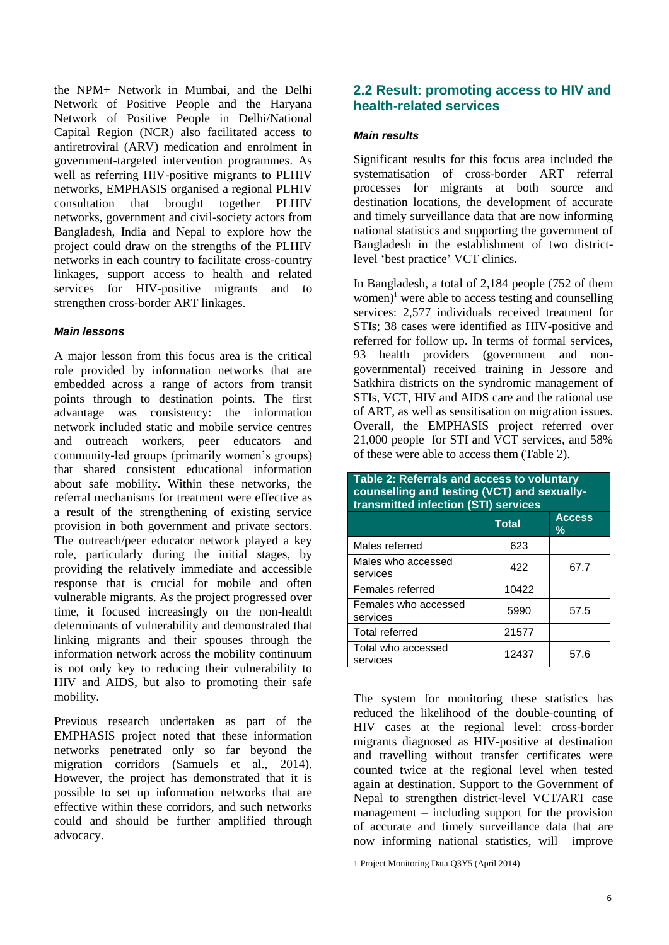the NPM+ Network in Mumbai, and the Delhi Network of Positive People and the Haryana Network of Positive People in Delhi/National Capital Region (NCR) also facilitated access to antiretroviral (ARV) medication and enrolment in government-targeted intervention programmes. As well as referring HIV-positive migrants to PLHIV networks, EMPHASIS organised a regional PLHIV consultation that brought together PLHIV networks, government and civil-society actors from Bangladesh, India and Nepal to explore how the project could draw on the strengths of the PLHIV networks in each country to facilitate cross-country linkages, support access to health and related services for HIV-positive migrants and to strengthen cross-border ART linkages.

#### *Main lessons*

A major lesson from this focus area is the critical role provided by information networks that are embedded across a range of actors from transit points through to destination points. The first advantage was consistency: the information network included static and mobile service centres and outreach workers, peer educators and community-led groups (primarily women's groups) that shared consistent educational information about safe mobility. Within these networks, the referral mechanisms for treatment were effective as a result of the strengthening of existing service provision in both government and private sectors. The outreach/peer educator network played a key role, particularly during the initial stages, by providing the relatively immediate and accessible response that is crucial for mobile and often vulnerable migrants. As the project progressed over time, it focused increasingly on the non-health determinants of vulnerability and demonstrated that linking migrants and their spouses through the information network across the mobility continuum is not only key to reducing their vulnerability to HIV and AIDS, but also to promoting their safe mobility.

Previous research undertaken as part of the EMPHASIS project noted that these information networks penetrated only so far beyond the migration corridors (Samuels et al., 2014). However, the project has demonstrated that it is possible to set up information networks that are effective within these corridors, and such networks could and should be further amplified through advocacy.

# **2.2 Result: promoting access to HIV and health-related services**

#### *Main results*

Significant results for this focus area included the systematisation of cross-border ART referral processes for migrants at both source and destination locations, the development of accurate and timely surveillance data that are now informing national statistics and supporting the government of Bangladesh in the establishment of two districtlevel 'best practice' VCT clinics.

In Bangladesh, a total of 2,184 people (752 of them women)<sup>1</sup> were able to access testing and counselling services: 2,577 individuals received treatment for STIs; 38 cases were identified as HIV-positive and referred for follow up. In terms of formal services, 93 health providers (government and nongovernmental) received training in Jessore and Satkhira districts on the syndromic management of STIs, VCT, HIV and AIDS care and the rational use of ART, as well as sensitisation on migration issues. Overall, the EMPHASIS project referred over 21,000 people for STI and VCT services, and 58% of these were able to access them (Table 2).

| Table 2: Referrals and access to voluntary<br>counselling and testing (VCT) and sexually-<br>transmitted infection (STI) services |              |                    |  |  |
|-----------------------------------------------------------------------------------------------------------------------------------|--------------|--------------------|--|--|
|                                                                                                                                   | <b>Total</b> | <b>Access</b><br>℅ |  |  |
| Males referred                                                                                                                    | 623          |                    |  |  |
| Males who accessed<br>services                                                                                                    | 422          | 67.7               |  |  |
| Females referred                                                                                                                  | 10422        |                    |  |  |
| Females who accessed<br>services                                                                                                  | 5990         | 57.5               |  |  |
| <b>Total referred</b>                                                                                                             | 21577        |                    |  |  |
| Total who accessed<br>services                                                                                                    | 12437        | 57.6               |  |  |

The system for monitoring these statistics has reduced the likelihood of the double-counting of HIV cases at the regional level: cross-border migrants diagnosed as HIV-positive at destination and travelling without transfer certificates were counted twice at the regional level when tested again at destination. Support to the Government of Nepal to strengthen district-level VCT/ART case management – including support for the provision of accurate and timely surveillance data that are now informing national statistics, will improve

<sup>1</sup> Project Monitoring Data Q3Y5 (April 2014)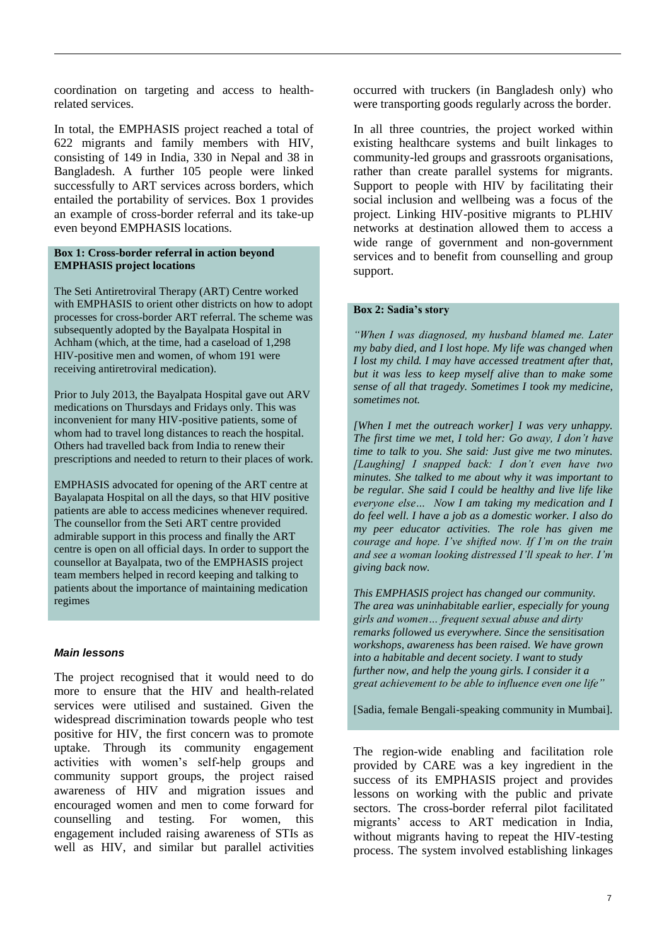coordination on targeting and access to healthrelated services.

In total, the EMPHASIS project reached a total of 622 migrants and family members with HIV, consisting of 149 in India, 330 in Nepal and 38 in Bangladesh. A further 105 people were linked successfully to ART services across borders, which entailed the portability of services. Box 1 provides an example of cross-border referral and its take-up even beyond EMPHASIS locations.

#### **Box 1: Cross-border referral in action beyond EMPHASIS project locations**

The Seti Antiretroviral Therapy (ART) Centre worked with EMPHASIS to orient other districts on how to adopt processes for cross-border ART referral. The scheme was subsequently adopted by the Bayalpata Hospital in Achham (which, at the time, had a caseload of 1,298 HIV-positive men and women, of whom 191 were receiving antiretroviral medication).

Prior to July 2013, the Bayalpata Hospital gave out ARV medications on Thursdays and Fridays only. This was inconvenient for many HIV-positive patients, some of whom had to travel long distances to reach the hospital. Others had travelled back from India to renew their prescriptions and needed to return to their places of work.

EMPHASIS advocated for opening of the ART centre at Bayalapata Hospital on all the days, so that HIV positive patients are able to access medicines whenever required. The counsellor from the Seti ART centre provided admirable support in this process and finally the ART centre is open on all official days. In order to support the counsellor at Bayalpata, two of the EMPHASIS project team members helped in record keeping and talking to patients about the importance of maintaining medication regimes

#### *Main lessons*

The project recognised that it would need to do more to ensure that the HIV and health-related services were utilised and sustained. Given the widespread discrimination towards people who test positive for HIV, the first concern was to promote uptake. Through its community engagement activities with women's self-help groups and community support groups, the project raised awareness of HIV and migration issues and encouraged women and men to come forward for counselling and testing. For women, this engagement included raising awareness of STIs as well as HIV, and similar but parallel activities

occurred with truckers (in Bangladesh only) who were transporting goods regularly across the border.

In all three countries, the project worked within existing healthcare systems and built linkages to community-led groups and grassroots organisations, rather than create parallel systems for migrants. Support to people with HIV by facilitating their social inclusion and wellbeing was a focus of the project. Linking HIV-positive migrants to PLHIV networks at destination allowed them to access a wide range of government and non-government services and to benefit from counselling and group support.

#### **Box 2: Sadia's story**

*"When I was diagnosed, my husband blamed me. Later my baby died, and I lost hope. My life was changed when I lost my child. I may have accessed treatment after that, but it was less to keep myself alive than to make some sense of all that tragedy. Sometimes I took my medicine, sometimes not.*

*[When I met the outreach worker] I was very unhappy. The first time we met, I told her: Go away, I don't have time to talk to you. She said: Just give me two minutes. [Laughing] I snapped back: I don't even have two minutes. She talked to me about why it was important to be regular. She said I could be healthy and live life like everyone else… Now I am taking my medication and I do feel well. I have a job as a domestic worker. I also do my peer educator activities. The role has given me courage and hope. I've shifted now. If I'm on the train and see a woman looking distressed I'll speak to her. I'm giving back now.* 

*This EMPHASIS project has changed our community. The area was uninhabitable earlier, especially for young girls and women… frequent sexual abuse and dirty remarks followed us everywhere. Since the sensitisation workshops, awareness has been raised. We have grown into a habitable and decent society. I want to study further now, and help the young girls. I consider it a great achievement to be able to influence even one life"* 

[Sadia, female Bengali-speaking community in Mumbai].

The region-wide enabling and facilitation role provided by CARE was a key ingredient in the success of its EMPHASIS project and provides lessons on working with the public and private sectors. The cross-border referral pilot facilitated migrants' access to ART medication in India, without migrants having to repeat the HIV-testing process. The system involved establishing linkages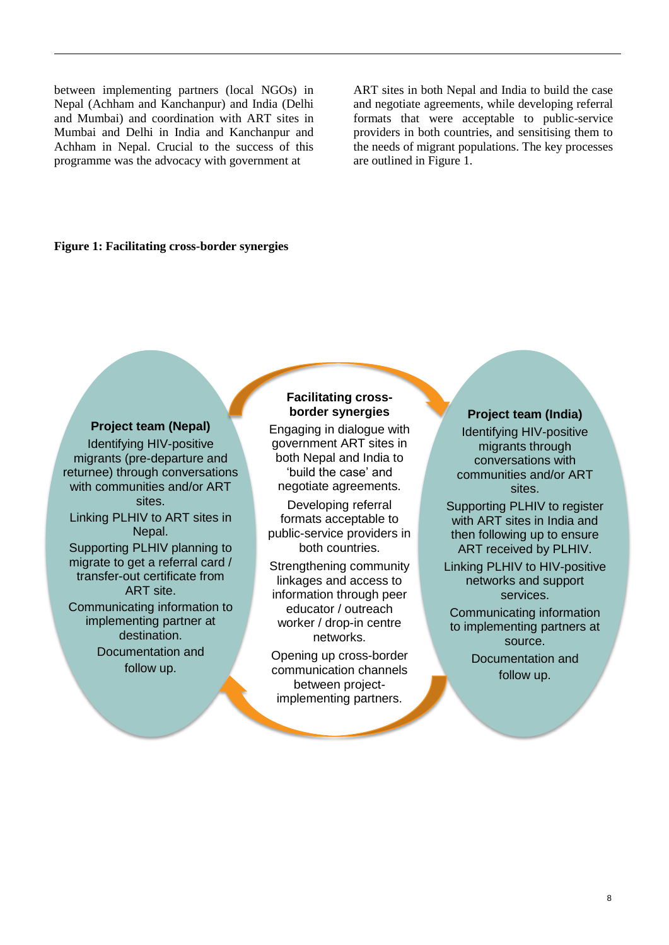between implementing partners (local NGOs) in Nepal (Achham and Kanchanpur) and India (Delhi and Mumbai) and coordination with ART sites in Mumbai and Delhi in India and Kanchanpur and Achham in Nepal. Crucial to the success of this programme was the advocacy with government at

ART sites in both Nepal and India to build the case and negotiate agreements, while developing referral formats that were acceptable to public-service providers in both countries, and sensitising them to the needs of migrant populations. The key processes are outlined in Figure 1.

#### **Figure 1: Facilitating cross-border synergies**

## **Project team (Nepal)**

Identifying HIV-positive migrants (pre-departure and returnee) through conversations with communities and/or ART sites. Linking PLHIV to ART sites in Nepal. Supporting PLHIV planning to migrate to get a referral card / transfer-out certificate from ART site. Communicating information to implementing partner at destination. Documentation and follow up.

## **Facilitating crossborder synergies**

Engaging in dialogue with government ART sites in both Nepal and India to 'build the case' and negotiate agreements.

Developing referral formats acceptable to public-service providers in both countries.

Strengthening community linkages and access to information through peer educator / outreach worker / drop-in centre networks.

Opening up cross-border communication channels between projectimplementing partners.

#### **Project team (India)**

Identifying HIV-positive migrants through conversations with communities and/or ART sites.

Supporting PLHIV to register with ART sites in India and then following up to ensure ART received by PLHIV.

Linking PLHIV to HIV-positive networks and support services.

Communicating information to implementing partners at source. Documentation and follow up.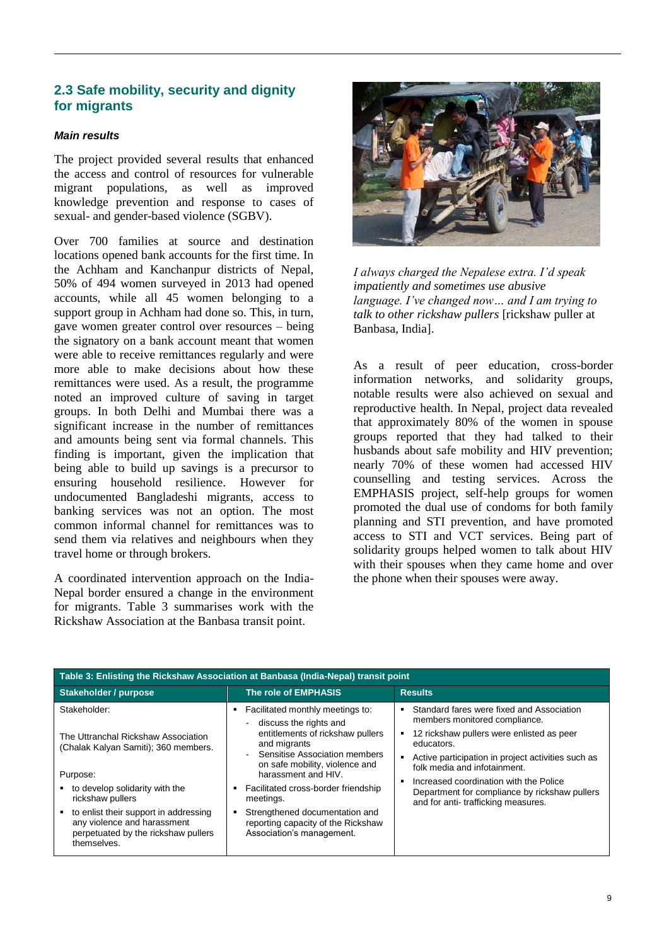# **2.3 Safe mobility, security and dignity for migrants**

#### *Main results*

The project provided several results that enhanced the access and control of resources for vulnerable migrant populations, as well as improved knowledge prevention and response to cases of sexual- and gender-based violence (SGBV).

Over 700 families at source and destination locations opened bank accounts for the first time. In the Achham and Kanchanpur districts of Nepal, 50% of 494 women surveyed in 2013 had opened accounts, while all 45 women belonging to a support group in Achham had done so. This, in turn, gave women greater control over resources – being the signatory on a bank account meant that women were able to receive remittances regularly and were more able to make decisions about how these remittances were used. As a result, the programme noted an improved culture of saving in target groups. In both Delhi and Mumbai there was a significant increase in the number of remittances and amounts being sent via formal channels. This finding is important, given the implication that being able to build up savings is a precursor to ensuring household resilience. However for undocumented Bangladeshi migrants, access to banking services was not an option. The most common informal channel for remittances was to send them via relatives and neighbours when they travel home or through brokers.

A coordinated intervention approach on the India-Nepal border ensured a change in the environment for migrants. Table 3 summarises work with the Rickshaw Association at the Banbasa transit point.



*I always charged the Nepalese extra. I'd speak impatiently and sometimes use abusive language. I've changed now… and I am trying to talk to other rickshaw pullers* [rickshaw puller at Banbasa, India].

As a result of peer education, cross-border information networks, and solidarity groups, notable results were also achieved on sexual and reproductive health. In Nepal, project data revealed that approximately 80% of the women in spouse groups reported that they had talked to their husbands about safe mobility and HIV prevention; nearly 70% of these women had accessed HIV counselling and testing services. Across the EMPHASIS project, self-help groups for women promoted the dual use of condoms for both family planning and STI prevention, and have promoted access to STI and VCT services. Being part of solidarity groups helped women to talk about HIV with their spouses when they came home and over the phone when their spouses were away.

| Table 3: Enlisting the Rickshaw Association at Banbasa (India-Nepal) transit point                                         |                                                                                                                                                                                                               |                                                                                                                                                                                                                                                                                                                                                              |  |  |  |  |
|----------------------------------------------------------------------------------------------------------------------------|---------------------------------------------------------------------------------------------------------------------------------------------------------------------------------------------------------------|--------------------------------------------------------------------------------------------------------------------------------------------------------------------------------------------------------------------------------------------------------------------------------------------------------------------------------------------------------------|--|--|--|--|
| Stakeholder / purpose                                                                                                      | The role of EMPHASIS                                                                                                                                                                                          | <b>Results</b>                                                                                                                                                                                                                                                                                                                                               |  |  |  |  |
| Stakeholder:<br>The Uttranchal Rickshaw Association<br>(Chalak Kalyan Samiti); 360 members.                                | Facilitated monthly meetings to:<br>٠<br>discuss the rights and<br>entitlements of rickshaw pullers<br>and migrants<br>Sensitise Association members<br>on safe mobility, violence and<br>harassment and HIV. | Standard fares were fixed and Association<br>members monitored compliance.<br>12 rickshaw pullers were enlisted as peer<br>educators.<br>Active participation in project activities such as<br>folk media and infotainment.<br>Increased coordination with the Police<br>Department for compliance by rickshaw pullers<br>and for anti-trafficking measures. |  |  |  |  |
| Purpose:                                                                                                                   |                                                                                                                                                                                                               |                                                                                                                                                                                                                                                                                                                                                              |  |  |  |  |
| to develop solidarity with the<br>rickshaw pullers                                                                         | Facilitated cross-border friendship<br>$\blacksquare$<br>meetings.                                                                                                                                            |                                                                                                                                                                                                                                                                                                                                                              |  |  |  |  |
| to enlist their support in addressing<br>any violence and harassment<br>perpetuated by the rickshaw pullers<br>themselves. | Strengthened documentation and<br>٠<br>reporting capacity of the Rickshaw<br>Association's management.                                                                                                        |                                                                                                                                                                                                                                                                                                                                                              |  |  |  |  |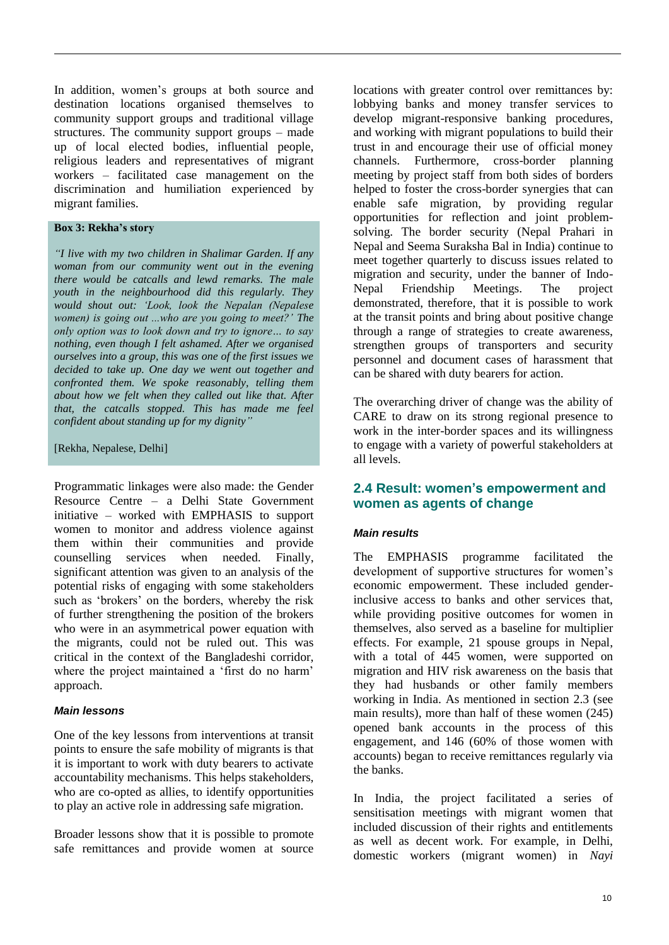In addition, women's groups at both source and destination locations organised themselves to community support groups and traditional village structures. The community support groups – made up of local elected bodies, influential people, religious leaders and representatives of migrant workers – facilitated case management on the discrimination and humiliation experienced by migrant families.

#### **Box 3: Rekha's story**

*"I live with my two children in Shalimar Garden. If any woman from our community went out in the evening there would be catcalls and lewd remarks. The male youth in the neighbourhood did this regularly. They would shout out: 'Look, look the Nepalan (Nepalese women) is going out ...who are you going to meet?' The only option was to look down and try to ignore… to say nothing, even though I felt ashamed. After we organised ourselves into a group, this was one of the first issues we decided to take up. One day we went out together and confronted them. We spoke reasonably, telling them about how we felt when they called out like that. After that, the catcalls stopped. This has made me feel confident about standing up for my dignity"*

#### [Rekha, Nepalese, Delhi]

Programmatic linkages were also made: the Gender Resource Centre – a Delhi State Government initiative – worked with EMPHASIS to support women to monitor and address violence against them within their communities and provide counselling services when needed. Finally, significant attention was given to an analysis of the potential risks of engaging with some stakeholders such as 'brokers' on the borders, whereby the risk of further strengthening the position of the brokers who were in an asymmetrical power equation with the migrants, could not be ruled out. This was critical in the context of the Bangladeshi corridor, where the project maintained a 'first do no harm' approach.

#### *Main lessons*

One of the key lessons from interventions at transit points to ensure the safe mobility of migrants is that it is important to work with duty bearers to activate accountability mechanisms. This helps stakeholders, who are co-opted as allies, to identify opportunities to play an active role in addressing safe migration.

Broader lessons show that it is possible to promote safe remittances and provide women at source locations with greater control over remittances by: lobbying banks and money transfer services to develop migrant-responsive banking procedures, and working with migrant populations to build their trust in and encourage their use of official money channels. Furthermore, cross-border planning meeting by project staff from both sides of borders helped to foster the cross-border synergies that can enable safe migration, by providing regular opportunities for reflection and joint problemsolving. The border security (Nepal Prahari in Nepal and Seema Suraksha Bal in India) continue to meet together quarterly to discuss issues related to migration and security, under the banner of Indo-Nepal Friendship Meetings. The project demonstrated, therefore, that it is possible to work at the transit points and bring about positive change through a range of strategies to create awareness, strengthen groups of transporters and security personnel and document cases of harassment that can be shared with duty bearers for action.

The overarching driver of change was the ability of CARE to draw on its strong regional presence to work in the inter-border spaces and its willingness to engage with a variety of powerful stakeholders at all levels.

## **2.4 Result: women's empowerment and women as agents of change**

#### *Main results*

The EMPHASIS programme facilitated the development of supportive structures for women's economic empowerment. These included genderinclusive access to banks and other services that, while providing positive outcomes for women in themselves, also served as a baseline for multiplier effects. For example, 21 spouse groups in Nepal, with a total of 445 women, were supported on migration and HIV risk awareness on the basis that they had husbands or other family members working in India. As mentioned in section 2.3 (see main results), more than half of these women (245) opened bank accounts in the process of this engagement, and 146 (60% of those women with accounts) began to receive remittances regularly via the banks.

In India, the project facilitated a series of sensitisation meetings with migrant women that included discussion of their rights and entitlements as well as decent work. For example, in Delhi, domestic workers (migrant women) in *Nayi*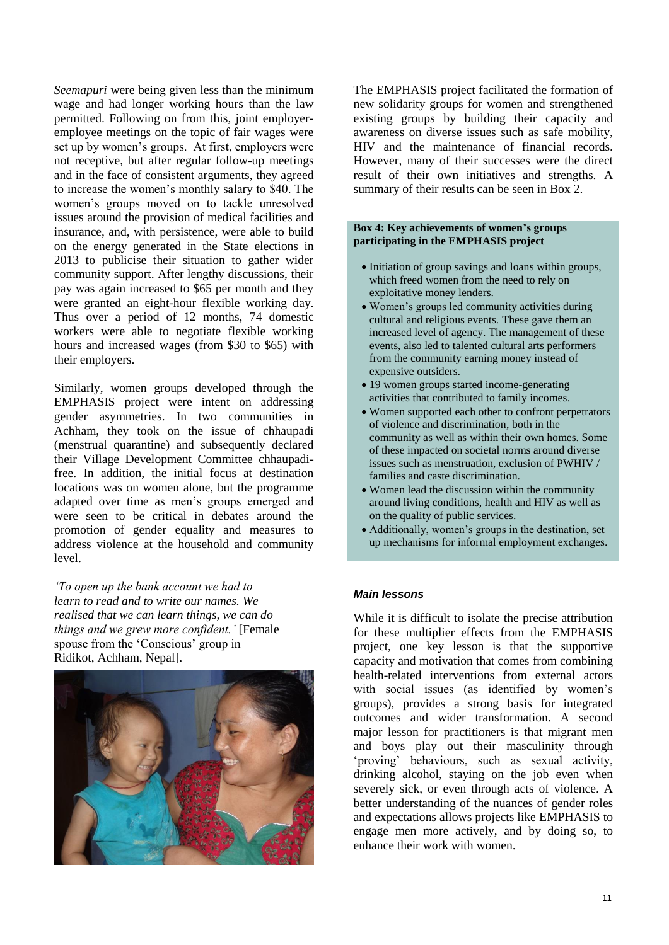*Seemapuri* were being given less than the minimum wage and had longer working hours than the law permitted. Following on from this, joint employeremployee meetings on the topic of fair wages were set up by women's groups. At first, employers were not receptive, but after regular follow-up meetings and in the face of consistent arguments, they agreed to increase the women's monthly salary to \$40. The women's groups moved on to tackle unresolved issues around the provision of medical facilities and insurance, and, with persistence, were able to build on the energy generated in the State elections in 2013 to publicise their situation to gather wider community support. After lengthy discussions, their pay was again increased to \$65 per month and they were granted an eight-hour flexible working day. Thus over a period of 12 months, 74 domestic workers were able to negotiate flexible working hours and increased wages (from \$30 to \$65) with their employers.

Similarly, women groups developed through the EMPHASIS project were intent on addressing gender asymmetries. In two communities in Achham, they took on the issue of chhaupadi (menstrual quarantine) and subsequently declared their Village Development Committee chhaupadifree. In addition, the initial focus at destination locations was on women alone, but the programme adapted over time as men's groups emerged and were seen to be critical in debates around the promotion of gender equality and measures to address violence at the household and community level.

*'To open up the bank account we had to learn to read and to write our names. We realised that we can learn things, we can do things and we grew more confident.'* [Female spouse from the 'Conscious' group in Ridikot, Achham, Nepal].



The EMPHASIS project facilitated the formation of new solidarity groups for women and strengthened existing groups by building their capacity and awareness on diverse issues such as safe mobility, HIV and the maintenance of financial records. However, many of their successes were the direct result of their own initiatives and strengths. A summary of their results can be seen in Box 2.

#### **Box 4: Key achievements of women's groups participating in the EMPHASIS project**

- Initiation of group savings and loans within groups, which freed women from the need to rely on exploitative money lenders.
- Women's groups led community activities during cultural and religious events. These gave them an increased level of agency. The management of these events, also led to talented cultural arts performers from the community earning money instead of expensive outsiders.
- 19 women groups started income-generating activities that contributed to family incomes.
- Women supported each other to confront perpetrators of violence and discrimination, both in the community as well as within their own homes. Some of these impacted on societal norms around diverse issues such as menstruation, exclusion of PWHIV / families and caste discrimination.
- Women lead the discussion within the community around living conditions, health and HIV as well as on the quality of public services.
- Additionally, women's groups in the destination, set up mechanisms for informal employment exchanges.

#### *Main lessons*

While it is difficult to isolate the precise attribution for these multiplier effects from the EMPHASIS project, one key lesson is that the supportive capacity and motivation that comes from combining health-related interventions from external actors with social issues (as identified by women's groups), provides a strong basis for integrated outcomes and wider transformation. A second major lesson for practitioners is that migrant men and boys play out their masculinity through 'proving' behaviours, such as sexual activity, drinking alcohol, staying on the job even when severely sick, or even through acts of violence. A better understanding of the nuances of gender roles and expectations allows projects like EMPHASIS to engage men more actively, and by doing so, to enhance their work with women.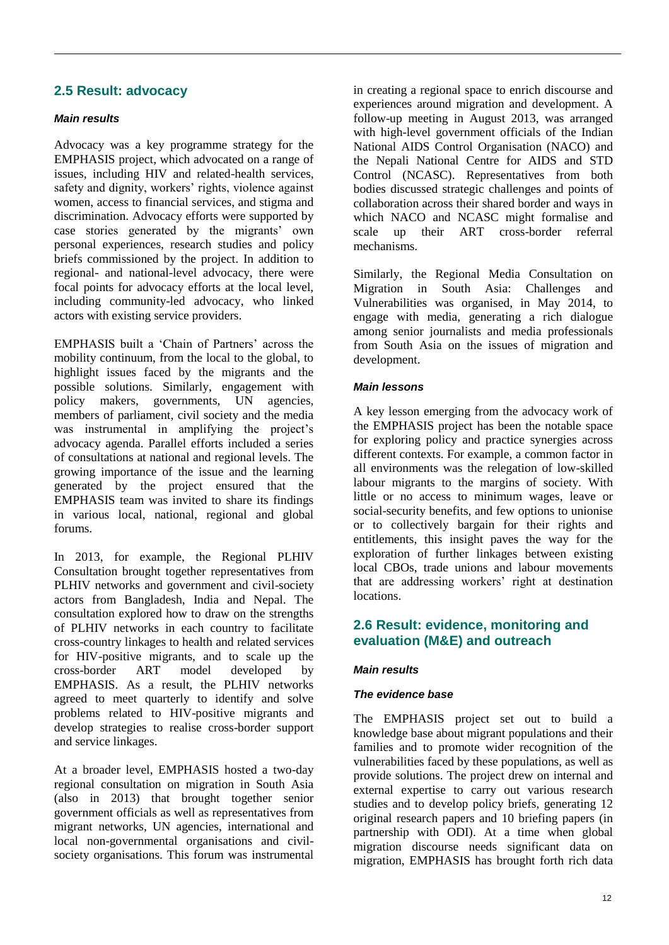# **2.5 Result: advocacy**

## *Main results*

Advocacy was a key programme strategy for the EMPHASIS project, which advocated on a range of issues, including HIV and related-health services, safety and dignity, workers' rights, violence against women, access to financial services, and stigma and discrimination. Advocacy efforts were supported by case stories generated by the migrants' own personal experiences, research studies and policy briefs commissioned by the project. In addition to regional- and national-level advocacy, there were focal points for advocacy efforts at the local level, including community-led advocacy, who linked actors with existing service providers.

EMPHASIS built a 'Chain of Partners' across the mobility continuum, from the local to the global, to highlight issues faced by the migrants and the possible solutions. Similarly, engagement with policy makers, governments, UN agencies, members of parliament, civil society and the media was instrumental in amplifying the project's advocacy agenda. Parallel efforts included a series of consultations at national and regional levels. The growing importance of the issue and the learning generated by the project ensured that the EMPHASIS team was invited to share its findings in various local, national, regional and global forums.

In 2013, for example, the Regional PLHIV Consultation brought together representatives from PLHIV networks and government and civil-society actors from Bangladesh, India and Nepal. The consultation explored how to draw on the strengths of PLHIV networks in each country to facilitate cross-country linkages to health and related services for HIV-positive migrants, and to scale up the cross-border ART model developed by EMPHASIS. As a result, the PLHIV networks agreed to meet quarterly to identify and solve problems related to HIV-positive migrants and develop strategies to realise cross-border support and service linkages.

At a broader level, EMPHASIS hosted a two-day regional consultation on migration in South Asia (also in 2013) that brought together senior government officials as well as representatives from migrant networks, UN agencies, international and local non-governmental organisations and civilsociety organisations. This forum was instrumental

in creating a regional space to enrich discourse and experiences around migration and development. A follow-up meeting in August 2013, was arranged with high-level government officials of the Indian National AIDS Control Organisation (NACO) and the Nepali National Centre for AIDS and STD Control (NCASC). Representatives from both bodies discussed strategic challenges and points of collaboration across their shared border and ways in which NACO and NCASC might formalise and scale up their ART cross-border referral mechanisms.

Similarly, the Regional Media Consultation on Migration in South Asia: Challenges and Vulnerabilities was organised, in May 2014, to engage with media, generating a rich dialogue among senior journalists and media professionals from South Asia on the issues of migration and development.

## *Main lessons*

A key lesson emerging from the advocacy work of the EMPHASIS project has been the notable space for exploring policy and practice synergies across different contexts. For example, a common factor in all environments was the relegation of low-skilled labour migrants to the margins of society. With little or no access to minimum wages, leave or social-security benefits, and few options to unionise or to collectively bargain for their rights and entitlements, this insight paves the way for the exploration of further linkages between existing local CBOs, trade unions and labour movements that are addressing workers' right at destination locations.

## **2.6 Result: evidence, monitoring and evaluation (M&E) and outreach**

#### *Main results*

#### *The evidence base*

The EMPHASIS project set out to build a knowledge base about migrant populations and their families and to promote wider recognition of the vulnerabilities faced by these populations, as well as provide solutions. The project drew on internal and external expertise to carry out various research studies and to develop policy briefs, generating 12 original research papers and 10 briefing papers (in partnership with ODI). At a time when global migration discourse needs significant data on migration, EMPHASIS has brought forth rich data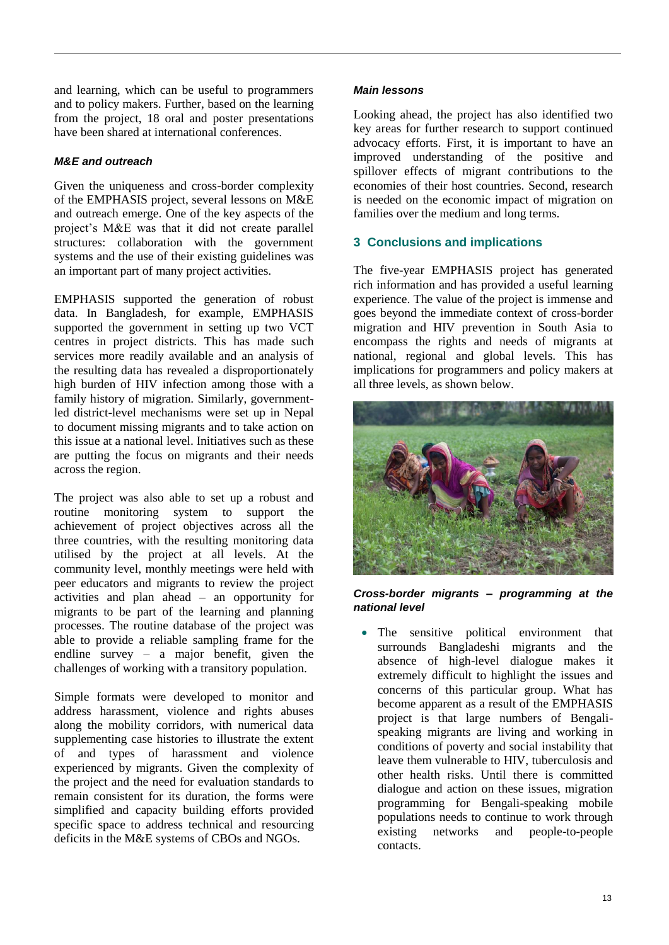and learning, which can be useful to programmers and to policy makers. Further, based on the learning from the project, 18 oral and poster presentations have been shared at international conferences.

## *M&E and outreach*

Given the uniqueness and cross-border complexity of the EMPHASIS project, several lessons on M&E and outreach emerge. One of the key aspects of the project's M&E was that it did not create parallel structures: collaboration with the government systems and the use of their existing guidelines was an important part of many project activities.

EMPHASIS supported the generation of robust data. In Bangladesh, for example, EMPHASIS supported the government in setting up two VCT centres in project districts. This has made such services more readily available and an analysis of the resulting data has revealed a disproportionately high burden of HIV infection among those with a family history of migration. Similarly, governmentled district-level mechanisms were set up in Nepal to document missing migrants and to take action on this issue at a national level. Initiatives such as these are putting the focus on migrants and their needs across the region.

The project was also able to set up a robust and routine monitoring system to support the achievement of project objectives across all the three countries, with the resulting monitoring data utilised by the project at all levels. At the community level, monthly meetings were held with peer educators and migrants to review the project activities and plan ahead – an opportunity for migrants to be part of the learning and planning processes. The routine database of the project was able to provide a reliable sampling frame for the endline survey – a major benefit, given the challenges of working with a transitory population.

Simple formats were developed to monitor and address harassment, violence and rights abuses along the mobility corridors, with numerical data supplementing case histories to illustrate the extent of and types of harassment and violence experienced by migrants. Given the complexity of the project and the need for evaluation standards to remain consistent for its duration, the forms were simplified and capacity building efforts provided specific space to address technical and resourcing deficits in the M&E systems of CBOs and NGOs.

#### *Main lessons*

Looking ahead, the project has also identified two key areas for further research to support continued advocacy efforts. First, it is important to have an improved understanding of the positive and spillover effects of migrant contributions to the economies of their host countries. Second, research is needed on the economic impact of migration on families over the medium and long terms.

## **3 Conclusions and implications**

The five-year EMPHASIS project has generated rich information and has provided a useful learning experience. The value of the project is immense and goes beyond the immediate context of cross-border migration and HIV prevention in South Asia to encompass the rights and needs of migrants at national, regional and global levels. This has implications for programmers and policy makers at all three levels, as shown below.



#### *Cross-border migrants – programming at the national level*

 The sensitive political environment that surrounds Bangladeshi migrants and the absence of high-level dialogue makes it extremely difficult to highlight the issues and concerns of this particular group. What has become apparent as a result of the EMPHASIS project is that large numbers of Bengalispeaking migrants are living and working in conditions of poverty and social instability that leave them vulnerable to HIV, tuberculosis and other health risks. Until there is committed dialogue and action on these issues, migration programming for Bengali-speaking mobile populations needs to continue to work through existing networks and people-to-people contacts.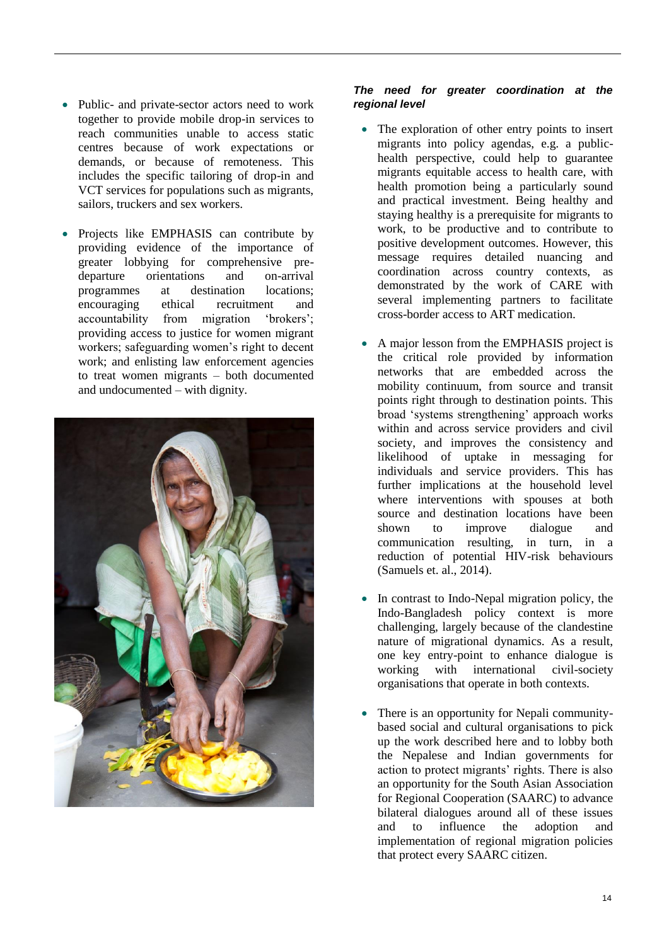- Public- and private-sector actors need to work together to provide mobile drop-in services to reach communities unable to access static centres because of work expectations or demands, or because of remoteness. This includes the specific tailoring of drop-in and VCT services for populations such as migrants, sailors, truckers and sex workers.
- Projects like EMPHASIS can contribute by providing evidence of the importance of greater lobbying for comprehensive predeparture orientations and on-arrival programmes at destination locations; encouraging ethical recruitment and accountability from migration 'brokers'; providing access to justice for women migrant workers; safeguarding women's right to decent work; and enlisting law enforcement agencies to treat women migrants – both documented and undocumented – with dignity.



#### *The need for greater coordination at the regional level*

- The exploration of other entry points to insert migrants into policy agendas, e.g. a publichealth perspective, could help to guarantee migrants equitable access to health care, with health promotion being a particularly sound and practical investment. Being healthy and staying healthy is a prerequisite for migrants to work, to be productive and to contribute to positive development outcomes. However, this message requires detailed nuancing and coordination across country contexts, as demonstrated by the work of CARE with several implementing partners to facilitate cross-border access to ART medication.
- A major lesson from the EMPHASIS project is the critical role provided by information networks that are embedded across the mobility continuum, from source and transit points right through to destination points. This broad 'systems strengthening' approach works within and across service providers and civil society, and improves the consistency and likelihood of uptake in messaging for individuals and service providers. This has further implications at the household level where interventions with spouses at both source and destination locations have been shown to improve dialogue and communication resulting, in turn, in a reduction of potential HIV-risk behaviours (Samuels et. al., 2014).
- In contrast to Indo-Nepal migration policy, the Indo-Bangladesh policy context is more challenging, largely because of the clandestine nature of migrational dynamics. As a result, one key entry-point to enhance dialogue is working with international civil-society organisations that operate in both contexts.
- There is an opportunity for Nepali communitybased social and cultural organisations to pick up the work described here and to lobby both the Nepalese and Indian governments for action to protect migrants' rights. There is also an opportunity for the South Asian Association for Regional Cooperation (SAARC) to advance bilateral dialogues around all of these issues and to influence the adoption and implementation of regional migration policies that protect every SAARC citizen.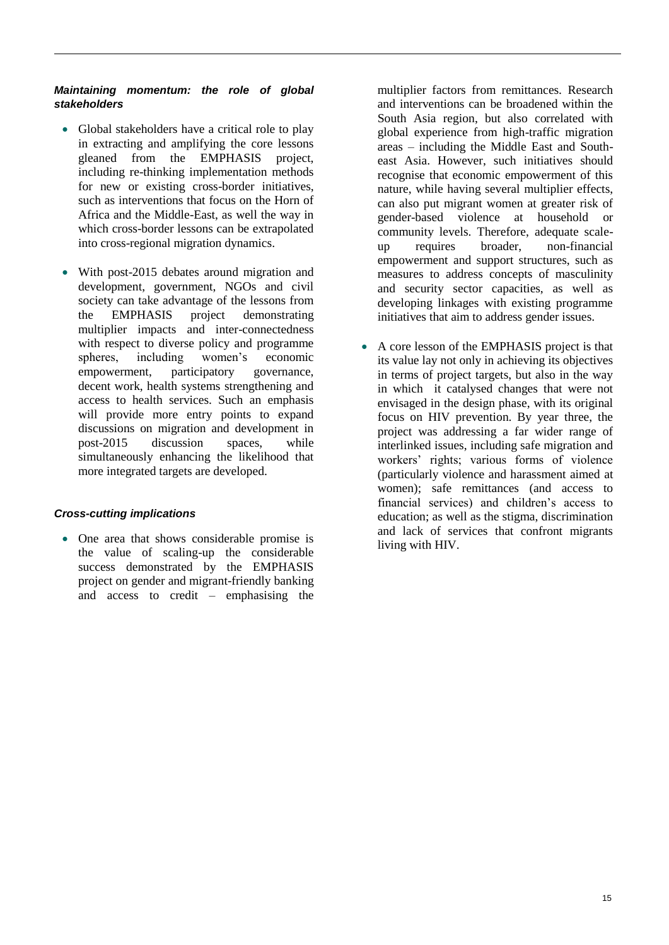## *Maintaining momentum: the role of global stakeholders*

- Global stakeholders have a critical role to play in extracting and amplifying the core lessons gleaned from the EMPHASIS project, including re-thinking implementation methods for new or existing cross-border initiatives, such as interventions that focus on the Horn of Africa and the Middle-East, as well the way in which cross-border lessons can be extrapolated into cross-regional migration dynamics.
- With post-2015 debates around migration and development, government, NGOs and civil society can take advantage of the lessons from the EMPHASIS project demonstrating multiplier impacts and inter-connectedness with respect to diverse policy and programme spheres, including women's economic empowerment, participatory governance, decent work, health systems strengthening and access to health services. Such an emphasis will provide more entry points to expand discussions on migration and development in post-2015 discussion spaces, while simultaneously enhancing the likelihood that more integrated targets are developed.

#### *Cross-cutting implications*

 One area that shows considerable promise is the value of scaling-up the considerable success demonstrated by the EMPHASIS project on gender and migrant-friendly banking and access to credit – emphasising the

multiplier factors from remittances. Research and interventions can be broadened within the South Asia region, but also correlated with global experience from high-traffic migration areas – including the Middle East and Southeast Asia. However, such initiatives should recognise that economic empowerment of this nature, while having several multiplier effects, can also put migrant women at greater risk of gender-based violence at household or community levels. Therefore, adequate scaleup requires broader, non-financial empowerment and support structures, such as measures to address concepts of masculinity and security sector capacities, as well as developing linkages with existing programme initiatives that aim to address gender issues.

 A core lesson of the EMPHASIS project is that its value lay not only in achieving its objectives in terms of project targets, but also in the way in which it catalysed changes that were not envisaged in the design phase, with its original focus on HIV prevention. By year three, the project was addressing a far wider range of interlinked issues, including safe migration and workers' rights; various forms of violence (particularly violence and harassment aimed at women); safe remittances (and access to financial services) and children's access to education; as well as the stigma, discrimination and lack of services that confront migrants living with HIV.